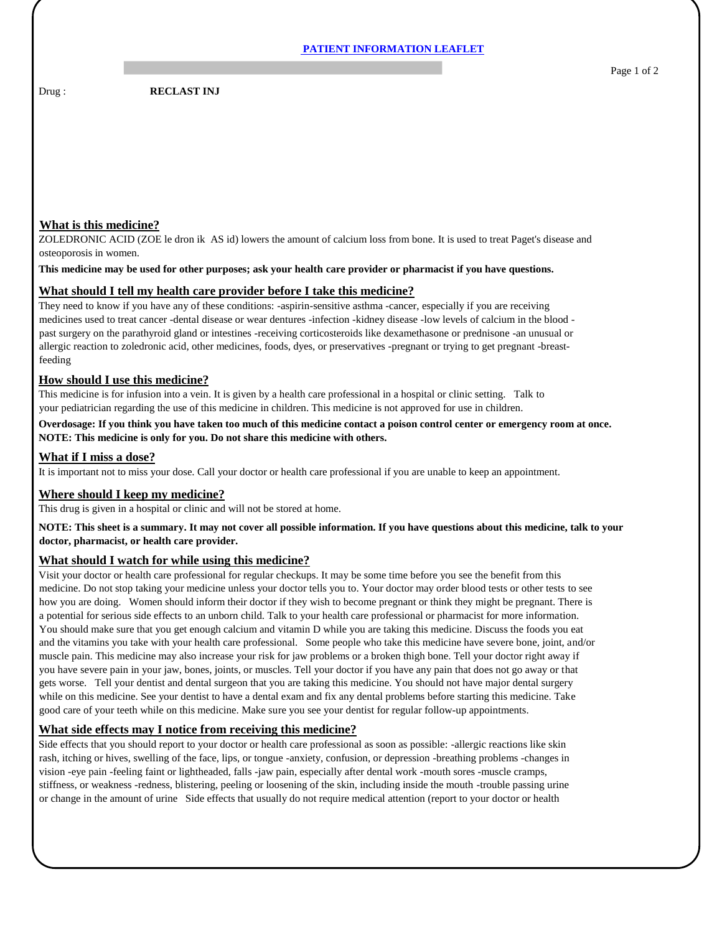Drug : **RECLAST INJ** 

# **What is this medicine?**

ZOLEDRONIC ACID (ZOE le dron ik AS id) lowers the amount of calcium loss from bone. It is used to treat Paget's disease and osteoporosis in women.

#### **This medicine may be used for other purposes; ask your health care provider or pharmacist if you have questions.**

## **What should I tell my health care provider before I take this medicine?**

They need to know if you have any of these conditions: -aspirin-sensitive asthma -cancer, especially if you are receiving medicines used to treat cancer -dental disease or wear dentures -infection -kidney disease -low levels of calcium in the blood past surgery on the parathyroid gland or intestines -receiving corticosteroids like dexamethasone or prednisone -an unusual or allergic reaction to zoledronic acid, other medicines, foods, dyes, or preservatives -pregnant or trying to get pregnant -breastfeeding

## **How should I use this medicine?**

This medicine is for infusion into a vein. It is given by a health care professional in a hospital or clinic setting. Talk to your pediatrician regarding the use of this medicine in children. This medicine is not approved for use in children.

# **Overdosage: If you think you have taken too much of this medicine contact a poison control center or emergency room at once. NOTE: This medicine is only for you. Do not share this medicine with others.**

## **What if I miss a dose?**

It is important not to miss your dose. Call your doctor or health care professional if you are unable to keep an appointment.

## **Where should I keep my medicine?**

This drug is given in a hospital or clinic and will not be stored at home.

**NOTE: This sheet is a summary. It may not cover all possible information. If you have questions about this medicine, talk to your doctor, pharmacist, or health care provider.**

## **What should I watch for while using this medicine?**

Visit your doctor or health care professional for regular checkups. It may be some time before you see the benefit from this medicine. Do not stop taking your medicine unless your doctor tells you to. Your doctor may order blood tests or other tests to see how you are doing. Women should inform their doctor if they wish to become pregnant or think they might be pregnant. There is a potential for serious side effects to an unborn child. Talk to your health care professional or pharmacist for more information. You should make sure that you get enough calcium and vitamin D while you are taking this medicine. Discuss the foods you eat and the vitamins you take with your health care professional. Some people who take this medicine have severe bone, joint, and/or muscle pain. This medicine may also increase your risk for jaw problems or a broken thigh bone. Tell your doctor right away if you have severe pain in your jaw, bones, joints, or muscles. Tell your doctor if you have any pain that does not go away or that gets worse. Tell your dentist and dental surgeon that you are taking this medicine. You should not have major dental surgery while on this medicine. See your dentist to have a dental exam and fix any dental problems before starting this medicine. Take good care of your teeth while on this medicine. Make sure you see your dentist for regular follow-up appointments.

## **What side effects may I notice from receiving this medicine?**

Side effects that you should report to your doctor or health care professional as soon as possible: -allergic reactions like skin rash, itching or hives, swelling of the face, lips, or tongue -anxiety, confusion, or depression -breathing problems -changes in vision -eye pain -feeling faint or lightheaded, falls -jaw pain, especially after dental work -mouth sores -muscle cramps, stiffness, or weakness -redness, blistering, peeling or loosening of the skin, including inside the mouth -trouble passing urine or change in the amount of urine Side effects that usually do not require medical attention (report to your doctor or health